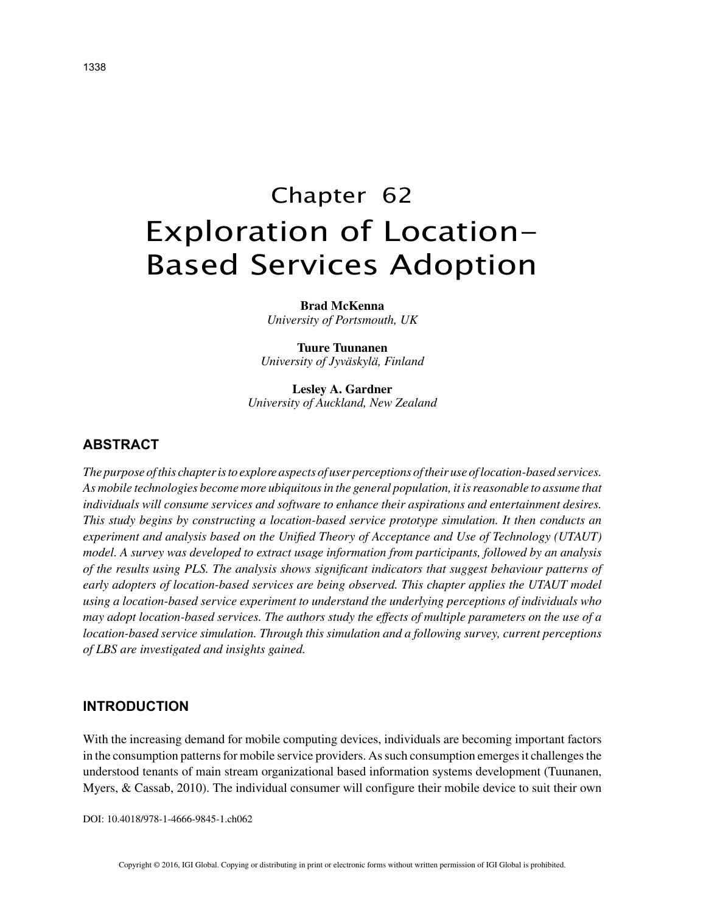# Chapter 62 Exploration of Location-Based Services Adoption

**Brad McKenna** *University of Portsmouth, UK*

**Tuure Tuunanen** *University of Jyväskylä, Finland*

**Lesley A. Gardner** *University of Auckland, New Zealand*

# **ABSTRACT**

*The purpose of this chapter is to explore aspects of user perceptions of their use of location-based services. As mobile technologies become more ubiquitous in the general population, it is reasonable to assume that individuals will consume services and software to enhance their aspirations and entertainment desires. This study begins by constructing a location-based service prototype simulation. It then conducts an experiment and analysis based on the Unified Theory of Acceptance and Use of Technology (UTAUT) model. A survey was developed to extract usage information from participants, followed by an analysis of the results using PLS. The analysis shows significant indicators that suggest behaviour patterns of early adopters of location-based services are being observed. This chapter applies the UTAUT model using a location-based service experiment to understand the underlying perceptions of individuals who may adopt location-based services. The authors study the effects of multiple parameters on the use of a location-based service simulation. Through this simulation and a following survey, current perceptions of LBS are investigated and insights gained.*

## **INTRODUCTION**

With the increasing demand for mobile computing devices, individuals are becoming important factors in the consumption patterns for mobile service providers. As such consumption emerges it challenges the understood tenants of main stream organizational based information systems development (Tuunanen, Myers, & Cassab, 2010). The individual consumer will configure their mobile device to suit their own

DOI: 10.4018/978-1-4666-9845-1.ch062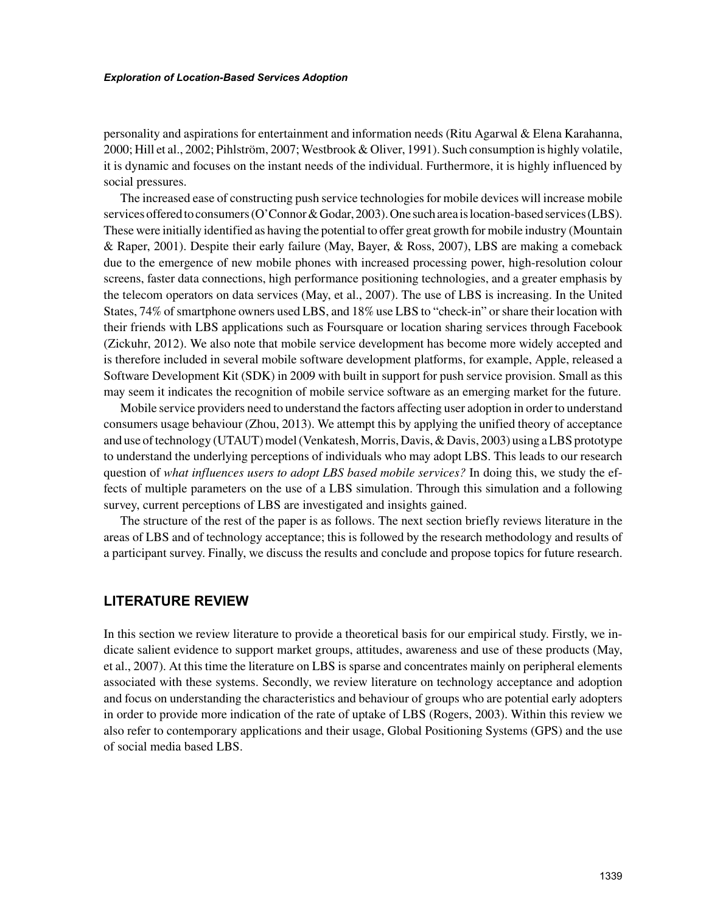personality and aspirations for entertainment and information needs (Ritu Agarwal & Elena Karahanna, 2000; Hill et al., 2002; Pihlström, 2007; Westbrook & Oliver, 1991). Such consumption is highly volatile, it is dynamic and focuses on the instant needs of the individual. Furthermore, it is highly influenced by social pressures.

The increased ease of constructing push service technologies for mobile devices will increase mobile services offered to consumers (O'Connor & Godar, 2003). One such area is location-based services (LBS). These were initially identified as having the potential to offer great growth for mobile industry (Mountain & Raper, 2001). Despite their early failure (May, Bayer, & Ross, 2007), LBS are making a comeback due to the emergence of new mobile phones with increased processing power, high-resolution colour screens, faster data connections, high performance positioning technologies, and a greater emphasis by the telecom operators on data services (May, et al., 2007). The use of LBS is increasing. In the United States, 74% of smartphone owners used LBS, and 18% use LBS to "check-in" or share their location with their friends with LBS applications such as Foursquare or location sharing services through Facebook (Zickuhr, 2012). We also note that mobile service development has become more widely accepted and is therefore included in several mobile software development platforms, for example, Apple, released a Software Development Kit (SDK) in 2009 with built in support for push service provision. Small as this may seem it indicates the recognition of mobile service software as an emerging market for the future.

Mobile service providers need to understand the factors affecting user adoption in order to understand consumers usage behaviour (Zhou, 2013). We attempt this by applying the unified theory of acceptance and use of technology (UTAUT) model (Venkatesh, Morris, Davis, & Davis, 2003) using a LBS prototype to understand the underlying perceptions of individuals who may adopt LBS. This leads to our research question of *what influences users to adopt LBS based mobile services?* In doing this, we study the effects of multiple parameters on the use of a LBS simulation. Through this simulation and a following survey, current perceptions of LBS are investigated and insights gained.

The structure of the rest of the paper is as follows. The next section briefly reviews literature in the areas of LBS and of technology acceptance; this is followed by the research methodology and results of a participant survey. Finally, we discuss the results and conclude and propose topics for future research.

## **LITERATURE REVIEW**

In this section we review literature to provide a theoretical basis for our empirical study. Firstly, we indicate salient evidence to support market groups, attitudes, awareness and use of these products (May, et al., 2007). At this time the literature on LBS is sparse and concentrates mainly on peripheral elements associated with these systems. Secondly, we review literature on technology acceptance and adoption and focus on understanding the characteristics and behaviour of groups who are potential early adopters in order to provide more indication of the rate of uptake of LBS (Rogers, 2003). Within this review we also refer to contemporary applications and their usage, Global Positioning Systems (GPS) and the use of social media based LBS.